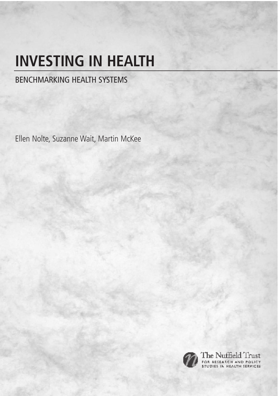# **INVESTING IN HEALTH**

### BENCHMARKING HEALTH SYSTEMS

Ellen Nolte, Suzanne Wait, Martin McKee



The Nuffield Trust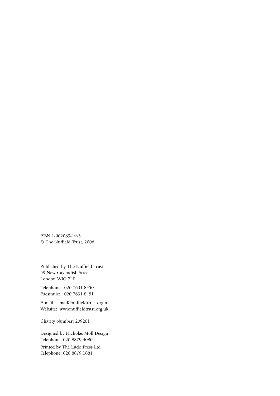ISBN 1-902089-19-3 © The Nuffield Trust, 2006

Published by The Nuffield Trust 59 New Cavendish Street London WIG 7LP

Telephone: 020 7631 8450 Facsimile: 020 7631 8451

E-mail: mail@nuffieldtrust.org.uk Website: www.nuffieldtrust.org.uk

Charity Number: 209201

Designed by Nicholas Moll Design Telephone: 020 8879 4080

Printed by The Ludo Press Ltd Telephone: 020 8879 1881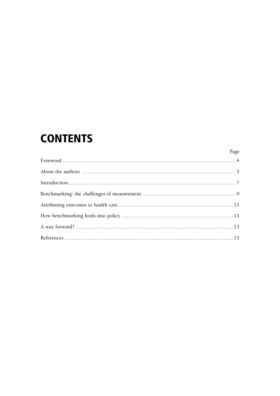# **CONTENTS**

Page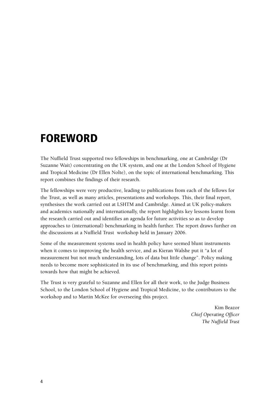### **FOREWORD**

The Nuffield Trust supported two fellowships in benchmarking, one at Cambridge (Dr Suzanne Wait) concentrating on the UK system, and one at the London School of Hygiene and Tropical Medicine (Dr Ellen Nolte), on the topic of international benchmarking. This report combines the findings of their research.

The fellowships were very productive, leading to publications from each of the fellows for the Trust, as well as many articles, presentations and workshops. This, their final report, synthesises the work carried out at LSHTM and Cambridge. Aimed at UK policy-makers and academics nationally and internationally, the report highlights key lessons learnt from the research carried out and identifies an agenda for future activities so as to develop approaches to (international) benchmarking in health further. The report draws further on the discussions at a Nuffield Trust workshop held in January 2006.

Some of the measurement systems used in health policy have seemed blunt instruments when it comes to improving the health service, and as Kieran Walshe put it "a lot of measurement but not much understanding, lots of data but little change". Policy making needs to become more sophisticated in its use of benchmarking, and this report points towards how that might be achieved.

The Trust is very grateful to Suzanne and Ellen for all their work, to the Judge Business School, to the London School of Hygiene and Tropical Medicine, to the contributors to the workshop and to Martin McKee for overseeing this project.

> Kim Beazor *Chief Operating Officer The Nuffield Trust*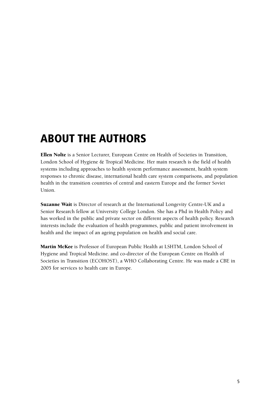# **ABOUT THE AUTHORS**

Ellen Nolte is a Senior Lecturer, European Centre on Health of Societies in Transition, London School of Hygiene & Tropical Medicine. Her main research is the field of health systems including approaches to health system performance assessment, health system responses to chronic disease, international health care system comparisons, and population health in the transition countries of central and eastern Europe and the former Soviet Union.

Suzanne Wait is Director of research at the International Longevity Centre-UK and a Senior Research fellow at University College London. She has a Phd in Health Policy and has worked in the public and private sector on different aspects of health policy. Research interests include the evaluation of health programmes, public and patient involvement in health and the impact of an ageing population on health and social care.

Martin McKee is Professor of European Public Health at LSHTM, London School of Hygiene and Tropical Medicine. and co-director of the European Centre on Health of Societies in Transition (ECOHOST), a WHO Collaborating Centre. He was made a CBE in 2005 for services to health care in Europe.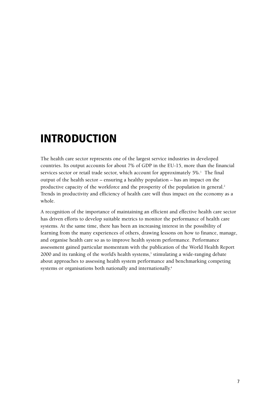# **INTRODUCTION**

The health care sector represents one of the largest service industries in developed countries. Its output accounts for about 7% of GDP in the EU-15, more than the financial services sector or retail trade sector, which account for approximately  $5\%$ .<sup>1</sup> The final output of the health sector – ensuring a healthy population – has an impact on the productive capacity of the workforce and the prosperity of the population in general.<sup>2</sup> Trends in productivity and efficiency of health care will thus impact on the economy as a whole.

A recognition of the importance of maintaining an efficient and effective health care sector has driven efforts to develop suitable metrics to monitor the performance of health care systems. At the same time, there has been an increasing interest in the possibility of learning from the many experiences of others, drawing lessons on how to finance, manage, and organise health care so as to improve health system performance. Performance assessment gained particular momentum with the publication of the World Health Report 2000 and its ranking of the world's health systems,<sup>3</sup> stimulating a wide-ranging debate about approaches to assessing health system performance and benchmarking competing systems or organisations both nationally and internationally.4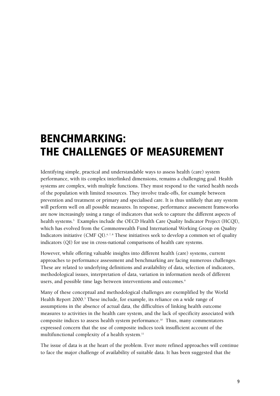# **BENCHMARKING: THE CHALLENGES OF MEASUREMENT**

Identifying simple, practical and understandable ways to assess health (care) system performance, with its complex interlinked dimensions, remains a challenging goal. Health systems are complex, with multiple functions. They must respond to the varied health needs of the population with limited resources. They involve trade-offs, for example between prevention and treatment or primary and specialised care. It is thus unlikely that any system will perform well on all possible measures. In response, performance assessment frameworks are now increasingly using a range of indicators that seek to capture the different aspects of health systems.<sup>5</sup> Examples include the OECD Health Care Quality Indicator Project (HCQI), which has evolved from the Commonwealth Fund International Working Group on Quality Indicators initiative (CMF QI).<sup>6,7,8</sup> These initiatives seek to develop a common set of quality indicators (QI) for use in cross-national comparisons of health care systems.

However, while offering valuable insights into different health (care) systems, current approaches to performance assessment and benchmarking are facing numerous challenges. These are related to underlying definitions and availability of data, selection of indicators, methodological issues, interpretation of data, variation in information needs of different users, and possible time lags between interventions and outcomes.<sup>9</sup>

Many of these conceptual and methodological challenges are exemplified by the World Health Report 2000.<sup>3</sup> These include, for example, its reliance on a wide range of assumptions in the absence of actual data, the difficulties of linking health outcome measures to activities in the health care system, and the lack of specificity associated with composite indices to assess health system performance.10 Thus, many commentators expressed concern that the use of composite indices took insufficient account of the multifunctional complexity of a health system.<sup>11</sup>

The issue of data is at the heart of the problem. Ever more refined approaches will continue to face the major challenge of availability of suitable data. It has been suggested that the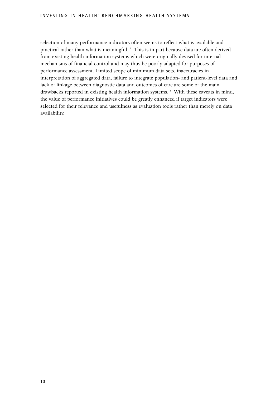selection of many performance indicators often seems to reflect what is available and practical rather than what is meaningful.12 This is in part because data are often derived from existing health information systems which were originally devised for internal mechanisms of financial control and may thus be poorly adapted for purposes of performance assessment. Limited scope of minimum data sets, inaccuracies in interpretation of aggregated data, failure to integrate population- and patient-level data and lack of linkage between diagnostic data and outcomes of care are some of the main drawbacks reported in existing health information systems.13 With these caveats in mind, the value of performance initiatives could be greatly enhanced if target indicators were selected for their relevance and usefulness as evaluation tools rather than merely on data availability.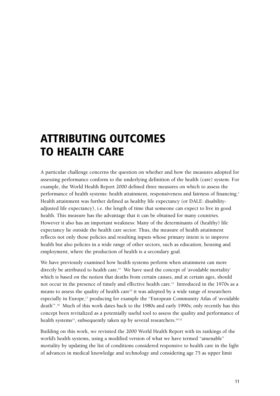# **ATTRIBUTING OUTCOMES TO HEALTH CARE**

A particular challenge concerns the question on whether and how the measures adopted for assessing performance conform to the underlying definition of the health (care) system. For example, the World Health Report 2000 defined three measures on which to assess the performance of health systems: health attainment, responsiveness and fairness of financing.<sup>3</sup> Health attainment was further defined as healthy life expectancy (or DALE: disabilityadjusted life expectancy), i.e. the length of time that someone can expect to live in good health. This measure has the advantage that it can be obtained for many countries. However it also has an important weakness: Many of the determinants of (healthy) life expectancy lie outside the health care sector. Thus, the measure of health attainment reflects not only those policies and resulting inputs whose primary intent is to improve health but also policies in a wide range of other sectors, such as education, housing and employment, where the production of health is a secondary goal.

We have previously examined how health systems perform when attainment can more directly be attributed to health care.<sup>14</sup> We have used the concept of 'avoidable mortality' which is based on the notion that deaths from certain causes, and at certain ages, should not occur in the presence of timely and effective health care.15 Introduced in the 1970s as a means to assess the quality of health care<sup>16</sup> it was adopted by a wide range of researchers especially in Europe,<sup>17</sup> producing for example the "European Community Atlas of 'avoidable death'". <sup>18</sup> Much of this work dates back to the 1980s and early 1990s; only recently has this concept been revitalized as a potentially useful tool to assess the quality and performance of health systems<sup>15</sup>, subsequently taken up by several researchers.<sup>19-22</sup>

Building on this work, we revisited the 2000 World Health Report with its rankings of the world's health systems, using a modified version of what we have termed "amenable" mortality by updating the list of conditions considered responsive to health care in the light of advances in medical knowledge and technology and considering age 75 as upper limit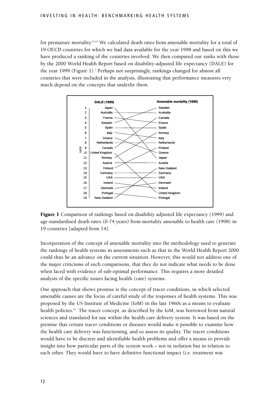for premature mortality.14,15 We calculated death rates from amenable mortality for a total of 19 OECD countries for which we had data available for the year 1998 and based on this we have produced a ranking of the countries involved. We then compared our ranks with those by the 2000 World Health Report based on disability-adjusted life expectancy (DALE) for the year 1999 (Figure 1).3 Perhaps not surprisingly, rankings changed for almost all countries that were included in the analysis, illustrating that performance measures very much depend on the concepts that underlie them.



Figure 1 Comparison of rankings based on disability adjusted life expectancy (1999) and age-standardised death rates (0-74 years) from mortality amenable to health care (1998) in 19 countries [adapted from 14].

Incorporation of the concept of amenable mortality into the methodology used to generate the rankings of health systems in assessments such as that in the World Health Report 2000 could thus be an advance on the current situation. However, this would not address one of the major criticisms of such comparisons, that they do not indicate what needs to be done when faced with evidence of sub-optimal performance. This requires a more detailed analysis of the specific issues facing health (care) systems.

One approach that shows promise is the concept of tracer conditions, in which selected amenable causes are the focus of careful study of the responses of health systems. This was proposed by the US Institute of Medicine (IoM) in the late 1960s as a means to evaluate health policies.23 The tracer concept, as described by the IoM, was borrowed from natural sciences and translated for use within the health care delivery system. It was based on the premise that certain tracer conditions or diseases would make it possible to examine how the health care delivery was functioning, and so assess its quality. The tracer conditions would have to be discrete and identifiable health problems and offer a means to provide insight into how particular parts of the system work – not in isolation but in relation to each other. They would have to have definitive functional impact (i.e. treatment was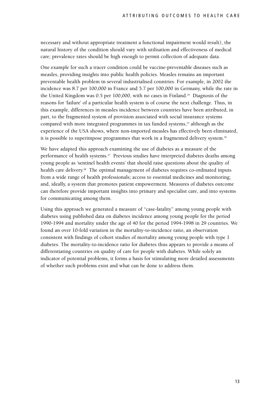necessary and without appropriate treatment a functional impairment would result), the natural history of the condition should vary with utilisation and effectiveness of medical care; prevalence rates should be high enough to permit collection of adequate data.

One example for such a tracer condition could be vaccine-preventable diseases such as measles, providing insights into public health policies. Measles remains an important preventable health problem in several industrialised countries. For example, in 2002 the incidence was 8.7 per 100,000 in France and 5.7 per 100,000 in Germany, while the rate in the United Kingdom was  $0.5$  per 100,000, with no cases in Finland.<sup>24</sup> Diagnosis of the reasons for 'failure' of a particular health system is of course the next challenge. Thus, in this example, differences in measles incidence between countries have been attributed, in part, to the fragmented system of provision associated with social insurance systems compared with more integrated programmes in tax funded systems, $25$  although as the experience of the USA shows, where non-imported measles has effectively been eliminated, it is possible to superimpose programmes that work in a fragmented delivery system.<sup>26</sup>

We have adapted this approach examining the use of diabetes as a measure of the performance of health systems.27 Previous studies have interpreted diabetes deaths among young people as 'sentinel health events' that should raise questions about the quality of health care delivery.<sup>28</sup> The optimal management of diabetes requires co-ordinated inputs from a wide range of health professionals; access to essential medicines and monitoring; and, ideally, a system that promotes patient empowerment. Measures of diabetes outcome can therefore provide important insights into primary and specialist care, and into systems for communicating among them.

Using this approach we generated a measure of "case-fatality" among young people with diabetes using published data on diabetes incidence among young people for the period 1990-1994 and mortality under the age of 40 for the period 1994-1998 in 29 countries. We found an over 10-fold variation in the mortality-to-incidence ratio, an observation consistent with findings of cohort studies of mortality among young people with type 1 diabetes. The mortality-to-incidence ratio for diabetes thus appears to provide a means of differentiating countries on quality of care for people with diabetes. While solely an indicator of potential problems, it forms a basis for stimulating more detailed assessments of whether such problems exist and what can be done to address them.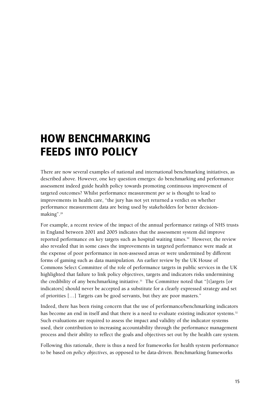# **HOW BENCHMARKING FEEDS INTO POLICY**

There are now several examples of national and international benchmarking initiatives, as described above. However, one key question emerges: do benchmarking and performance assessment indeed guide health policy towards promoting continuous improvement of targeted outcomes? Whilst performance measurement *per se* is thought to lead to improvements in health care, "the jury has not yet returned a verdict on whether performance measurement data are being used by stakeholders for better decisionmaking". 29

For example, a recent review of the impact of the annual performance ratings of NHS trusts in England between 2001 and 2005 indicates that the assessment system did improve reported performance on key targets such as hospital waiting times.<sup>30</sup> However, the review also revealed that in some cases the improvements in targeted performance were made at the expense of poor performance in non-assessed areas or were undermined by different forms of gaming such as data manipulation. An earlier review by the UK House of Commons Select Committee of the role of performance targets in public services in the UK highlighted that failure to link policy objectives, targets and indicators risks undermining the credibility of any benchmarking initiative.<sup>31</sup> The Committee noted that "[t]argets [or indicators] should never be accepted as a substitute for a clearly expressed strategy and set of priorities […] Targets can be good servants, but they are poor masters."

Indeed, there has been rising concern that the use of performance/benchmarking indicators has become an end in itself and that there is a need to evaluate existing indicator systems.<sup>32</sup> Such evaluations are required to assess the impact and validity of the indicator systems used, their contribution to increasing accountability through the performance management process and their ability to reflect the goals and objectives set out by the health care system.

Following this rationale, there is thus a need for frameworks for health system performance to be based on *policy objectives*, as opposed to be data-driven. Benchmarking frameworks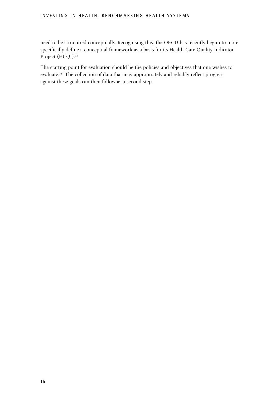#### INVESTING IN HEALTH: BENCHMARKING HEALTH SYSTEMS

need to be structured conceptually. Recognising this, the OECD has recently begun to more specifically define a conceptual framework as a basis for its Health Care Quality Indicator Project (HCQI).<sup>33</sup>

The starting point for evaluation should be the policies and objectives that one wishes to evaluate.34 The collection of data that may appropriately and reliably reflect progress against these goals can then follow as a second step.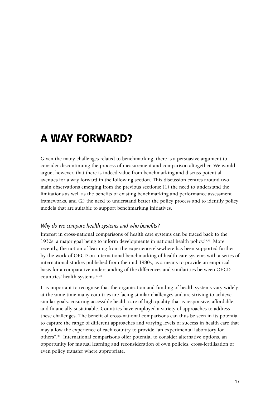### **A WAY FORWARD?**

Given the many challenges related to benchmarking, there is a persuasive argument to consider discontinuing the process of measurement and comparison altogether. We would argue, however, that there is indeed value from benchmarking and discuss potential avenues for a way forward in the following section. This discussion centres around two main observations emerging from the previous sections: (1) the need to understand the limitations as well as the benefits of existing benchmarking and performance assessment frameworks, and (2) the need to understand better the policy process and to identify policy models that are suitable to support benchmarking initiatives.

#### Why do we compare health systems and who benefits?

Interest in cross-national comparisons of health care systems can be traced back to the 1930s, a major goal being to inform developments in national health policy.<sup>35,36</sup> More recently, the notion of learning from the experience elsewhere has been supported further by the work of OECD on international benchmarking of health care systems with a series of international studies published from the mid-1980s, as a means to provide an empirical basis for a comparative understanding of the differences and similarities between OECD countries' health systems.37,38

It is important to recognise that the organisation and funding of health systems vary widely; at the same time many countries are facing similar challenges and are striving to achieve similar goals: ensuring accessible health care of high quality that is responsive, affordable, and financially sustainable. Countries have employed a variety of approaches to address these challenges. The benefit of cross-national comparisons can thus be seen in its potential to capture the range of different approaches and varying levels of success in health care that may allow the experience of each country to provide "an experimental laboratory for others". <sup>39</sup> International comparisons offer potential to consider alternative options, an opportunity for mutual learning and reconsideration of own policies, cross-fertilisation or even policy transfer where appropriate.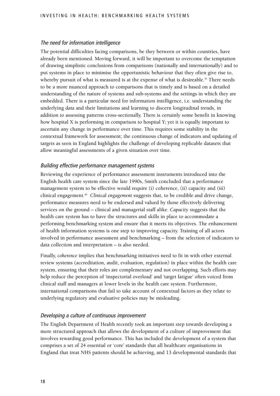#### The need for information intelligence

The potential difficulties facing comparisons, be they between or within countries, have already been mentioned. Moving forward, it will be important to overcome the temptation of drawing simplistic conclusions from comparisons (nationally and internationally) and to put systems in place to minimise the opportunistic behaviour that they often give rise to, whereby pursuit of what is measured is at the expense of what is desireable.<sup>30</sup> There needs to be a more nuanced approach to comparisons that is timely and is based on a detailed understanding of the nature of systems and sub-systems and the settings in which they are embedded. There is a particular need for information intelligence, i.e. understanding the underlying data and their limitations and learning to discern longitudinal trends, in addition to assessing patterns cross-sectionally. There is certainly some benefit in knowing how hospital X is performing in comparison to hospital Y; yet it is equally important to ascertain any change in performance over time. This requires some stability in the contextual framework for assessment; the continuous change of indicators and updating of targets as seen in England highlights the challenge of developing replicable datasets that allow meaningful assessments of a given situation over time.

#### Building effective performance management systems

Reviewing the experience of performance assessment instruments introduced into the English health care system since the late 1990s, Smith concluded that a performance management system to be effective would require (i) coherence, (ii) capacity and (iii) clinical engagement.40 *Clinical engagement* suggests that, to be credible and drive change, performance measures need to be endorsed and valued by those effectively delivering services on the ground – clinical and managerial staff alike. *Capacity* suggests that the health care system has to have the structures and skills in place to accommodate a performing benchmarking system and ensure that it meets its objectives. The enhancement of health information systems is one step to improving capacity. Training of all actors involved in performance assessment and benchmarking – from the selection of indicators to data collection and interpretation – is also needed.

Finally, *coherence* implies that benchmarking initiatives need to fit in with other external review systems (accreditation, audit, evaluation, regulation) in place within the health care system, ensuring that their roles are complementary and not overlapping. Such efforts may help reduce the perception of 'inspectorial overload' and 'target fatigue' often voiced from clinical staff and managers at lower levels in the health care system. Furthermore, international comparisons that fail to take account of contextual factors as they relate to underlying regulatory and evaluative policies may be misleading.

#### Developing a culture of continuous improvement

The English Department of Health recently took an important step towards developing a more structured approach that allows the development of a culture of improvement that involves rewarding good performance. This has included the development of a system that comprises a set of 24 essential or 'core' standards that all healthcare organisations in England that treat NHS patients should be achieving, and 13 developmental standards that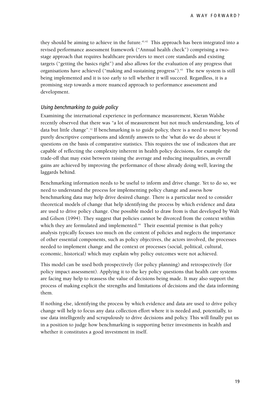they should be aiming to achieve in the future.<sup>41,42</sup> This approach has been integrated into a revised performance assessment framework ("Annual health check") comprising a twostage approach that requires healthcare providers to meet core standards and existing targets ("getting the basics right") and also allows for the evaluation of any progress that organisations have achieved ("making and sustaining progress").43 The new system is still being implemented and it is too early to tell whether it will succeed. Regardless, it is a promising step towards a more nuanced approach to performance assessment and development.

#### Using benchmarking to guide policy

Examining the international experience in performance measurement, Kieran Walshe recently observed that there was "a lot of measurement but not much understanding, lots of data but little change". <sup>12</sup> If benchmarking is to guide policy, there is a need to move beyond purely descriptive comparisons and identify answers to the 'what do we do about it' questions on the basis of comparative statistics. This requires the use of indicators that are capable of reflecting the complexity inherent in health policy decisions, for example the trade-off that may exist between raising the average and reducing inequalities, as overall gains are achieved by improving the performance of those already doing well, leaving the laggards behind.

Benchmarking information needs to be useful to inform and drive change. Yet to do so, we need to understand the process for implementing policy change and assess how benchmarking data may help drive desired change. There is a particular need to consider theoretical models of change that help identifying the process by which evidence and data are used to drive policy change. One possible model to draw from is that developed by Walt and Gilson (1994). They suggest that policies cannot be divorced from the context within which they are formulated and implemented.<sup>44</sup> Their essential premise is that policy analysis typically focuses too much on the content of policies and neglects the importance of other essential components, such as policy objectives, the actors involved, the processes needed to implement change and the context or processes (social, political, cultural, economic, historical) which may explain why policy outcomes were not achieved.

This model can be used both prospectively (for policy planning) and retrospectively (for policy impact assessment). Applying it to the key policy questions that health care systems are facing may help to reassess the value of decisions being made. It may also support the process of making explicit the strengths and limitations of decisions and the data informing them.

If nothing else, identifying the process by which evidence and data are used to drive policy change will help to focus any data collection effort where it is needed and, potentially, to use data intelligently and scrupulously to drive decisions and policy. This will finally put us in a position to judge how benchmarking is supporting better investments in health and whether it constitutes a good investment in itself.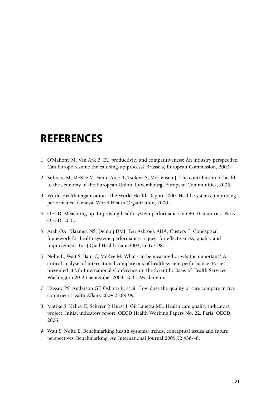### **REFERENCES**

- 1. O'Mahony M, Van Ark B. EU productivity and competitiveness: An industry perspective. Can Europe resume the catching-up process? Brussels, European Commission, 2003.
- 2. Suhrcke M, McKee M, Sauto Arce R, Tsolova S, Mortensen J. The contribution of health to the economy in the European Union. Luxembourg, European Communities, 2005.
- 3. World Health Organization. The World Health Report 2000. Health systems: improving performance. Geneva, World Health Organization, 2000.
- 4. OECD. Measuring up. Improving health system performance in OECD countries. Paris: OECD, 2002.
- 5. Arah OA, Klazinga NS, Delnoij DMJ, Ten Asbroek AHA, Custers T. Conceptual framework for health systems performance: a quest for effectiveness, quality and improvement. Int J Qual Health Care 2003;15:377-98.
- 6. Nolte E, Wait S, Bain C, McKee M. What can be measured or what is important? A critical analysis of international comparisons of health system performance. Poster presented at 5th International Conference on the Scientific Basis of Health Services. Washington 20-23 September 2003. 2003, Washington.
- 7. Hussey PS, Anderson GF, Osborn R, *et al*. How does the quality of care compare in five countries? Health Affairs 2004;23:89-99.
- 8. Mattke S, Kelley E, Scherer P, Hurst J, Gil Lapetra ML. Health care quality indicators project. Initial indicators report. OECD Health Working Papers No. 22. Paris: OECD, 2006.
- 9. Wait S, Nolte E. Benchmarking health systems: trends, conceptual issues and future perspectives. Benchmarking: An International Journal 2005;12:436-48.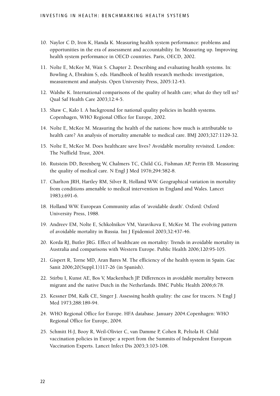- 10. Naylor C D, Iron K, Handa K. Measuring health system performance: problems and opportunities in the era of assessment and accountability. In: Measuring up. Improving health system performance in OECD countries. Paris, OECD, 2002.
- 11. Nolte E, McKee M, Wait S. Chapter 2. Describing and evaluating health systems. In: Bowling A, Ebrahim S, eds. Handbook of health research methods: investigation, measurement and analysis. Open University Press, 2005:12-43.
- 12. Walshe K. International comparisons of the quality of health care; what do they tell us? Qual Saf Health Care 2003;12:4-5.
- 13. Shaw C, Kalo I. A background for national quality policies in health systems. Copenhagen, WHO Regional Office for Europe, 2002.
- 14. Nolte E, McKee M. Measuring the health of the nations: how much is attributable to health care? An analysis of mortality amenable to medical care. BMJ 2003;327:1129-32.
- 15. Nolte E, McKee M. Does healthcare save lives? Avoidable mortality revisited. London: The Nuffield Trust, 2004.
- 16. Rutstein DD, Berenberg W, Chalmers TC, Child CG, Fishman AP, Perrin EB. Measuring the quality of medical care. N Engl J Med 1976;294:582-8.
- 17. Charlton JRH, Hartley RM, Silver R, Holland WW. Geographical variation in mortality from conditions amenable to medical intervention in England and Wales. Lancet 1983;i:691-6.
- 18. Holland WW. European Community atlas of 'avoidable death'. Oxford: Oxford University Press, 1988.
- 19. Andreev EM, Nolte E, Schkolnikov VM, Varavikova E, McKee M. The evolving pattern of avoidable mortality in Russia. Int J Epidemiol 2003;32:437-46.
- 20. Korda RJ, Butler JRG. Effect of healthcare on mortality: Trends in avoidable mortality in Australia and comparisons with Western Europe. Public Health 2006;120:95-105.
- 21. Gispert R, Torne MD, Aran Bares M. The efficiency of the health system in Spain. Gac Sanit 2006;20(Suppl.1)117-26 (in Spanish).
- 22. Stirbu I, Kunst AE, Bos V, Mackenbach JP. Differences in avoidable mortality between migrant and the native Dutch in the Netherlands. BMC Public Health 2006;6:78.
- 23. Kessner DM, Kalk CE, Singer J. Assessing health quality: the case for tracers. N Engl J Med 1973;288:189-94.
- 24. WHO Regional Office for Europe. HFA database. January 2004.Copenhagen: WHO Regional Office for Europe, 2004.
- 25. Schmitt H-J, Booy R, Weil-Olivier C, van Damme P, Cohen R, Peltola H. Child vaccination policies in Europe: a report from the Summits of Independent European Vaccination Experts. Lancet Infect Dis 2003;3:103-108.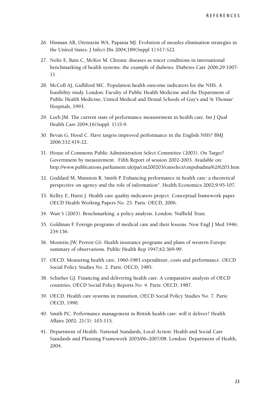- 26. Hinman AR, Orenstein WA, Papania MJ. Evolution of measles elimination strategies in the United States. J Infect Dis 2004;189(Suppl 1):S17-S22.
- 27. Nolte E, Bain C, McKee M. Chronic diseases as tracer conditions in international benchmarking of health systems: the example of diabetes. Diabetes Care 2006;29:1007- 11.
- 28. McColl AJ, Gulliford MC. Population health outcome indicators for the NHS. A feasibility study. London: Faculty of Public Health Medicine and the Department of Public Health Medicine, United Medical and Dental Schools of Guy's and St Thomas' Hospitals, 1993.
- 29. Loeb JM. The current state of performance measurement in health care. Int J Qual Health Care 2004;16(Suppl. 1):i5-9.
- 30. Bevan G, Hood C. Have targets improved performance in the English NHS? BMJ 2006;332:419-22.
- 31. House of Commons Public Administration Select Committee (2003). On Target? Government by measurement. Fifth Report of session 2002-2003. Available on: http://www.publications.parliament.uk/pa/cm200203/cmselect/cmpubadmi/62/6203.htm
- 32. Goddard M, Mannion R, Smith P. Enhancing performance in health care: a theoretical perspective on agency and the role of information". Health Economics 2002;9:95-107.
- 33. Kelley E, Hurst J. Health care quality indicators project. Conceptual framework paper. OECD Health Working Papers No. 23. Paris: OECD, 2006.
- 34. Wait S (2003). Benchmarking: a policy analysis. London: Nuffield Trust.
- 35. Goldman F. Foreign programs of medical care and their lessons. New Engl J Med 1946; 234:156.
- 36. Mountin JW, Perrott GS. Health insurance programs and plans of western Europe: summary of observations. Public Health Rep 1947;62:369-99.
- 37. OECD. Measuring health care, 1960-1983 expenditure, costs and performance. OECD Social Policy Studies No. 2. Paris: OECD, 1985.
- 38. Schieber GJ. Financing and delivering health care. A comparative analysis of OECD countries, OECD Social Policy Reports No. 4. Paris: OECD, 1987.
- 39. OECD. Health care systems in transition. OECD Social Policy Studies No. 7. Paris: OECD, 1990.
- 40. Smith PC. Performance management in British health care: will it deliver? Health Affairs 2002; 21(3): 103-115.
- 41. Department of Health. National Standards, Local Action: Health and Social Care Standards and Planning Framework 2005/06–2007/08. London: Department of Health, 2004.